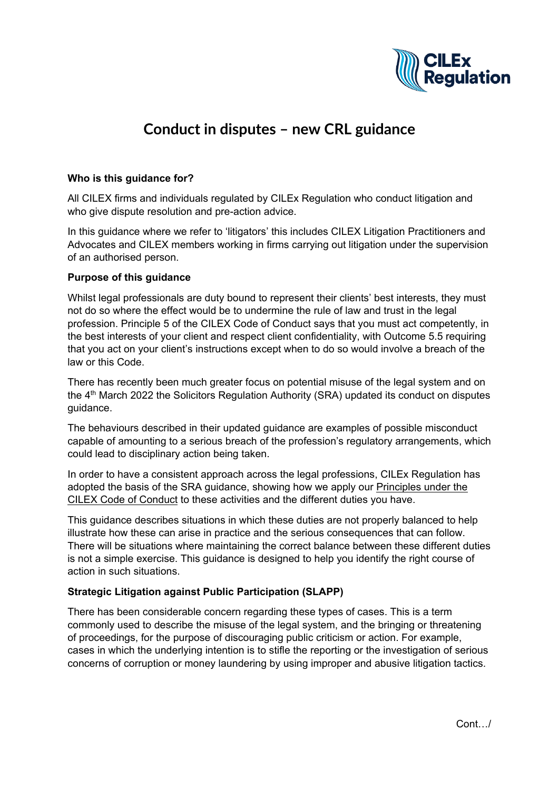

# **Conduct in disputes – new CRL guidance**

#### **Who is this guidance for?**

All CILEX firms and individuals regulated by CILEx Regulation who conduct litigation and who give dispute resolution and pre-action advice.

In this guidance where we refer to 'litigators' this includes CILEX Litigation Practitioners and Advocates and CILEX members working in firms carrying out litigation under the supervision of an authorised person.

#### **Purpose of this guidance**

Whilst legal professionals are duty bound to represent their clients' best interests, they must not do so where the effect would be to undermine the rule of law and trust in the legal profession. Principle 5 of the CILEX Code of Conduct says that you must act competently, in the best interests of your client and respect client confidentiality, with Outcome 5.5 requiring that you act on your client's instructions except when to do so would involve a breach of the law or this Code.

There has recently been much greater focus on potential misuse of the legal system and on the  $4<sup>th</sup>$  March 2022 the Solicitors Regulation Authority (SRA) updated its conduct on disputes guidance.

The behaviours described in their updated guidance are examples of possible misconduct capable of amounting to a serious breach of the profession's regulatory arrangements, which could lead to disciplinary action being taken.

In order to have a consistent approach across the legal professions, CILEx Regulation has adopted the basis of the SRA guidance, showing how we apply our [Principles under](https://cilexregulation.org.uk/wp-content/uploads/2018/11/2.-Code-of-Conduct-2019.pdf) the [CILEX Code of Conduct](https://cilexregulation.org.uk/wp-content/uploads/2018/11/2.-Code-of-Conduct-2019.pdf) to these activities and the different duties you have.

This guidance describes situations in which these duties are not properly balanced to help illustrate how these can arise in practice and the serious consequences that can follow. There will be situations where maintaining the correct balance between these different duties is not a simple exercise. This guidance is designed to help you identify the right course of action in such situations.

## **Strategic Litigation against Public Participation (SLAPP)**

There has been considerable concern regarding these types of cases. This is a term commonly used to describe the misuse of the legal system, and the bringing or threatening of proceedings, for the purpose of discouraging public criticism or action. For example, cases in which the underlying intention is to stifle the reporting or the investigation of serious concerns of corruption or money laundering by using improper and abusive litigation tactics.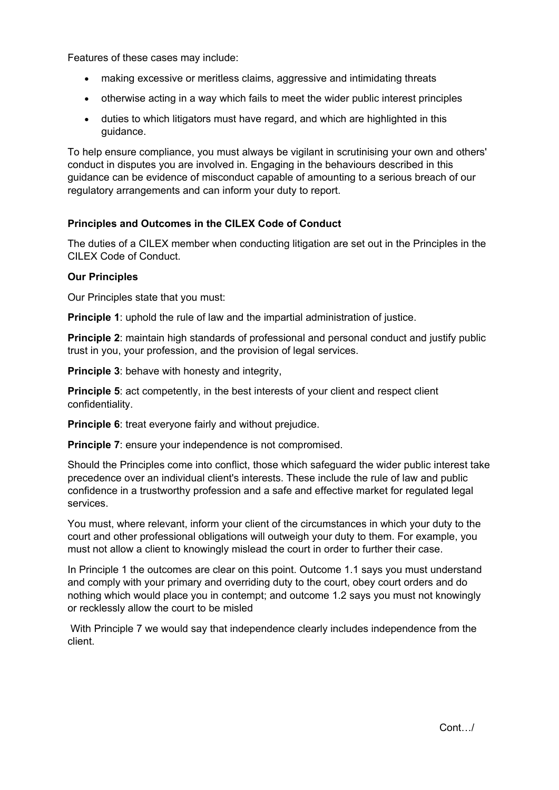Features of these cases may include:

- making excessive or meritless claims, aggressive and intimidating threats
- otherwise acting in a way which fails to meet the wider public interest principles
- duties to which litigators must have regard, and which are highlighted in this guidance.

To help ensure compliance, you must always be vigilant in scrutinising your own and others' conduct in disputes you are involved in. Engaging in the behaviours described in this guidance can be evidence of misconduct capable of amounting to a serious breach of our regulatory arrangements and can inform your duty to report.

## **Principles and Outcomes in the CILEX Code of Conduct**

The duties of a CILEX member when conducting litigation are set out in the Principles in the CILEX Code of Conduct.

#### **Our Principles**

Our Principles state that you must:

**Principle 1:** uphold the rule of law and the impartial administration of justice.

**Principle 2:** maintain high standards of professional and personal conduct and justify public trust in you, your profession, and the provision of legal services.

**Principle 3: behave with honesty and integrity.** 

**Principle 5:** act competently, in the best interests of your client and respect client confidentiality.

**Principle 6:** treat everyone fairly and without prejudice.

**Principle 7:** ensure your independence is not compromised.

Should the Principles come into conflict, those which safeguard the wider public interest take precedence over an individual client's interests. These include the rule of law and public confidence in a trustworthy profession and a safe and effective market for regulated legal services.

You must, where relevant, inform your client of the circumstances in which your duty to the court and other professional obligations will outweigh your duty to them. For example, you must not allow a client to knowingly mislead the court in order to further their case.

In Principle 1 the outcomes are clear on this point. Outcome 1.1 says you must understand and comply with your primary and overriding duty to the court, obey court orders and do nothing which would place you in contempt; and outcome 1.2 says you must not knowingly or recklessly allow the court to be misled

With Principle 7 we would say that independence clearly includes independence from the client.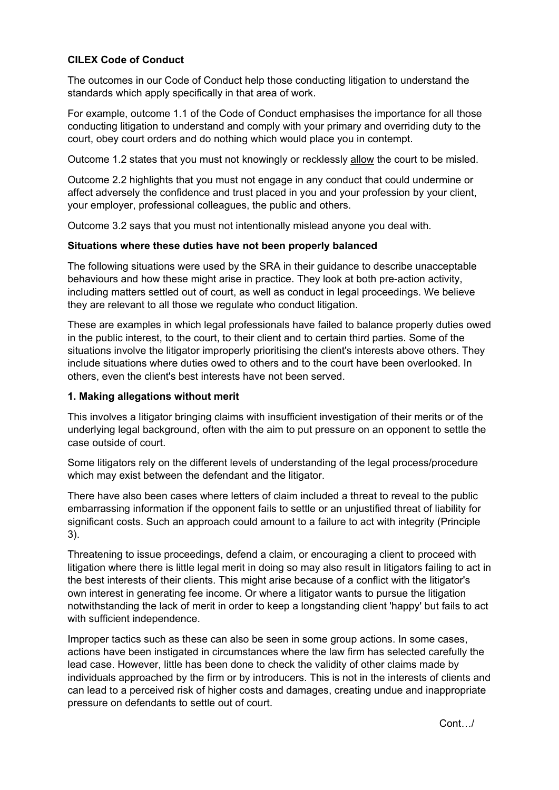# **CILEX Code of Conduct**

The outcomes in our Code of Conduct help those conducting litigation to understand the standards which apply specifically in that area of work.

For example, outcome 1.1 of the Code of Conduct emphasises the importance for all those conducting litigation to understand and comply with your primary and overriding duty to the court, obey court orders and do nothing which would place you in contempt.

Outcome 1.2 states that you must not knowingly or recklessly allow the court to be misled.

Outcome 2.2 highlights that you must not engage in any conduct that could undermine or affect adversely the confidence and trust placed in you and your profession by your client, your employer, professional colleagues, the public and others.

Outcome 3.2 says that you must not intentionally mislead anyone you deal with.

#### **Situations where these duties have not been properly balanced**

The following situations were used by the SRA in their guidance to describe unacceptable behaviours and how these might arise in practice. They look at both pre-action activity, including matters settled out of court, as well as conduct in legal proceedings. We believe they are relevant to all those we regulate who conduct litigation.

These are examples in which legal professionals have failed to balance properly duties owed in the public interest, to the court, to their client and to certain third parties. Some of the situations involve the litigator improperly prioritising the client's interests above others. They include situations where duties owed to others and to the court have been overlooked. In others, even the client's best interests have not been served.

#### **1. Making allegations without merit**

This involves a litigator bringing claims with insufficient investigation of their merits or of the underlying legal background, often with the aim to put pressure on an opponent to settle the case outside of court.

Some litigators rely on the different levels of understanding of the legal process/procedure which may exist between the defendant and the litigator.

There have also been cases where letters of claim included a threat to reveal to the public embarrassing information if the opponent fails to settle or an unjustified threat of liability for significant costs. Such an approach could amount to a failure to act with integrity (Principle 3).

Threatening to issue proceedings, defend a claim, or encouraging a client to proceed with litigation where there is little legal merit in doing so may also result in litigators failing to act in the best interests of their clients. This might arise because of a conflict with the litigator's own interest in generating fee income. Or where a litigator wants to pursue the litigation notwithstanding the lack of merit in order to keep a longstanding client 'happy' but fails to act with sufficient independence.

Improper tactics such as these can also be seen in some group actions. In some cases, actions have been instigated in circumstances where the law firm has selected carefully the lead case. However, little has been done to check the validity of other claims made by individuals approached by the firm or by introducers. This is not in the interests of clients and can lead to a perceived risk of higher costs and damages, creating undue and inappropriate pressure on defendants to settle out of court.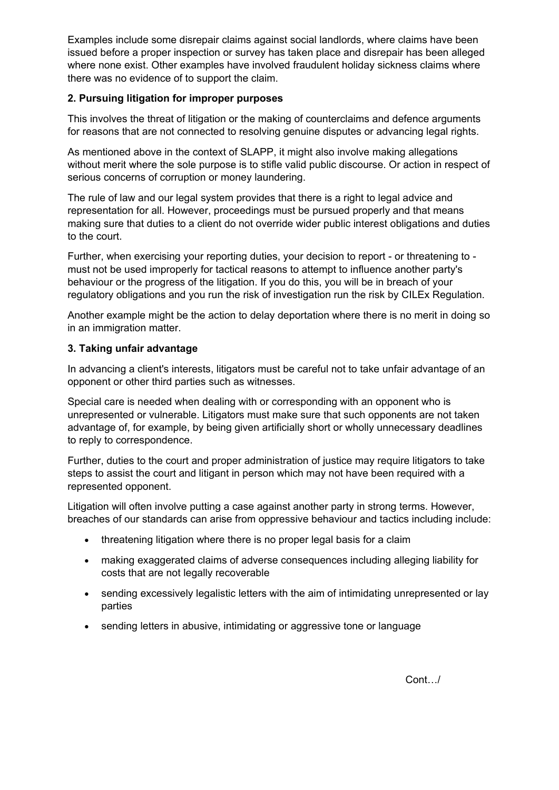Examples include some disrepair claims against social landlords, where claims have been issued before a proper inspection or survey has taken place and disrepair has been alleged where none exist. Other examples have involved fraudulent holiday sickness claims where there was no evidence of to support the claim.

## **2. Pursuing litigation for improper purposes**

This involves the threat of litigation or the making of counterclaims and defence arguments for reasons that are not connected to resolving genuine disputes or advancing legal rights.

As mentioned above in the context of SLAPP, it might also involve making allegations without merit where the sole purpose is to stifle valid public discourse. Or action in respect of serious concerns of corruption or money laundering.

The rule of law and our legal system provides that there is a right to legal advice and representation for all. However, proceedings must be pursued properly and that means making sure that duties to a client do not override wider public interest obligations and duties to the court.

Further, when exercising your reporting duties, your decision to report - or threatening to must not be used improperly for tactical reasons to attempt to influence another party's behaviour or the progress of the litigation. If you do this, you will be in breach of your regulatory obligations and you run the risk of investigation run the risk by CILEx Regulation.

Another example might be the action to delay deportation where there is no merit in doing so in an immigration matter.

## **3. Taking unfair advantage**

In advancing a client's interests, litigators must be careful not to take unfair advantage of an opponent or other third parties such as witnesses.

Special care is needed when dealing with or corresponding with an opponent who is unrepresented or vulnerable. Litigators must make sure that such opponents are not taken advantage of, for example, by being given artificially short or wholly unnecessary deadlines to reply to correspondence.

Further, duties to the court and proper administration of justice may require litigators to take steps to assist the court and litigant in person which may not have been required with a represented opponent.

Litigation will often involve putting a case against another party in strong terms. However, breaches of our standards can arise from oppressive behaviour and tactics including include:

- threatening litigation where there is no proper legal basis for a claim
- making exaggerated claims of adverse consequences including alleging liability for costs that are not legally recoverable
- sending excessively legalistic letters with the aim of intimidating unrepresented or lay parties
- sending letters in abusive, intimidating or aggressive tone or language